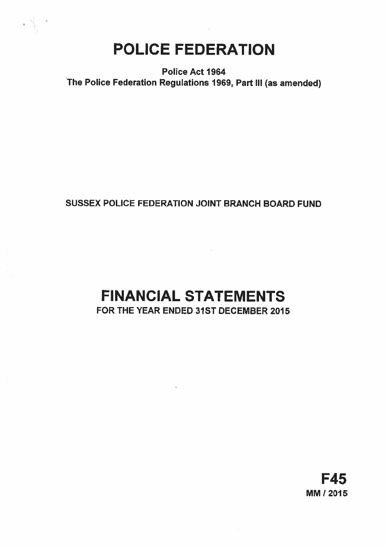# POLICE FEDERATION

Police Act 1964 The Police Federation Regulations 1969, Part Ill (as amended)

## SUSSEX POLICE FEDERATION JOINT BRANCH BOARD FUND

## FINANCIAL STATEMENTS FOR THE YEAR ENDED 31ST DECEMBER 2015

F45 MM! 2015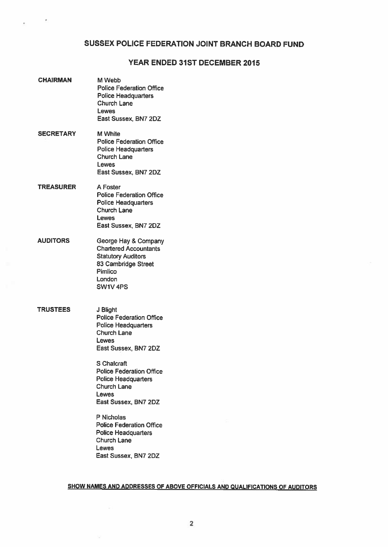## SUSSEX POLICE FEDERATION JOINT BRANCH BOARD FUND

## YEAR ENDED 31ST DECEMBER 2015

| <b>CHAIRMAN</b>  | M Webb<br><b>Police Federation Office</b><br><b>Police Headquarters</b><br><b>Church Lane</b><br><b>Lewes</b><br>East Sussex, BN7 2DZ                |  |
|------------------|------------------------------------------------------------------------------------------------------------------------------------------------------|--|
| <b>SECRETARY</b> | <b>M</b> White<br><b>Police Federation Office</b><br><b>Police Headquarters</b><br>Church Lane<br>Lewes<br>East Sussex, BN7 2DZ                      |  |
| <b>TREASURER</b> | A Foster<br><b>Police Federation Office</b><br><b>Police Headquarters</b><br><b>Church Lane</b><br>Lewes<br>East Sussex, BN7 2DZ                     |  |
| <b>AUDITORS</b>  | George Hay & Company<br><b>Chartered Accountants</b><br><b>Statutory Auditors</b><br>83 Cambridge Street<br>Pimlico<br>London<br>SW1V <sub>4PS</sub> |  |
| <b>TRUSTEES</b>  | J Blight<br><b>Police Federation Office</b><br><b>Police Headquarters</b><br><b>Church Lane</b><br>Lewes<br>East Sussex, BN7 2DZ                     |  |
|                  | S Chalcraft<br><b>Police Federation Office</b><br><b>Police Headquarters</b><br><b>Church Lane</b><br>Lewes<br>East Sussex, BN7 2DZ                  |  |
|                  | P Nicholas<br><b>Police Federation Office</b><br><b>Police Headquarters</b><br><b>Church Lane</b><br>Lewes<br>East Sussex, BN7 2DZ                   |  |

 $\boldsymbol{\theta}$ 

## SHOW NAMES AND ADDRESSES OF ABOVE OFFICIALS AND QUALIFICATIONS OF AUDITORS

 $\Sigma$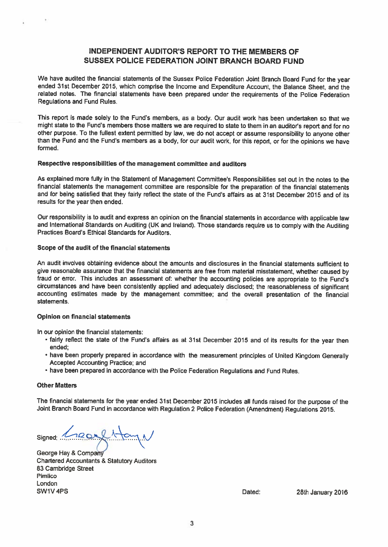## INDEPENDENT AUDITOR'S REPORT TO THE MEMBERS OF SUSSEX POLICE FEDERATION JOINT BRANCH BOARD FUND

We have audited the financial statements of the Sussex Police Federation Joint Branch Board Fund for the year ended 31st December 2015, which comprise the Income and Expenditure Account, the Balance Sheet, and the related notes. The financial statements have been prepare<sup>d</sup> under the requirements of the Police Federation Regulations and Fund Rules.

This repor<sup>t</sup> is made solely to the Fund's members, as <sup>a</sup> body. Our audit work has been undertaken so that we might state to the Fund's members those matters we are required to state to them in an auditor's repor<sup>t</sup> and for no other purpose. To the fullest extent permitted by law, we do not accep<sup>t</sup> or assume responsibility to anyone other than the Fund and the Fund's members as <sup>a</sup> body, for our audit work, for this report, or for the opinions we have formed.

## Respective responsibilities of the managemen<sup>t</sup> committee and auditors

As explained more fully in the Statement of Management Committee's Responsibilities set out in the notes to the financial statements the managemen<sup>t</sup> committee are responsible for the preparation of the financial statements and for being satisfied that they fairly reflect the state of the Fund's affairs as at 31st December 2015 and of its results for the year then ended.

Our responsibility is to audit and express an opinion on the financial statements in accordance with applicable law and International Standards on Auditing (UK and Ireland). Those standards require us to comply with the Auditing Practices Board's Ethical Standards for Auditors.

## Scope of the audit of the financial statements

An audit involves obtaining evidence about the amounts and disclosures in the financial statements sufficient to <sup>g</sup>ive reasonable assurance that the financial statements are free from material misstatement, whether caused by fraud or error. This includes an assessment of: whether the accounting policies are appropriate to the Fund's circumstances and have been consistently applied and adequately disclosed; the reasonableness of significant accounting estimates made by the managemen<sup>t</sup> committee; and the overall presentation of the financial statements.

## Opinion on financial statements

In our opinion the financial statements:

- fairly reflect the state of the Fund's affairs as at 31st December <sup>2015</sup> and of its results for the year then ended;
- have been properly prepare<sup>d</sup> in accordance with the measurement principles of United Kingdom Generally Accepted Accounting Practice; and
- have been prepare<sup>d</sup> in accordance with the Police Federation Regulations and Fund Rules.

## **Other Matters**

The financial statements for the year ended 31st December <sup>2015</sup> includes all funds raised for the purpose of the Joint Branch Board Fund in accordance with Regulation <sup>2</sup> Police Federation (Amendment) Regulations 2015.

Signed: .......

George Hay & Compa Chartered Accountants & Statutory Auditors 83 Cambridge Street Pimlico London SW1V 4PS **Dated:** 28th January 2016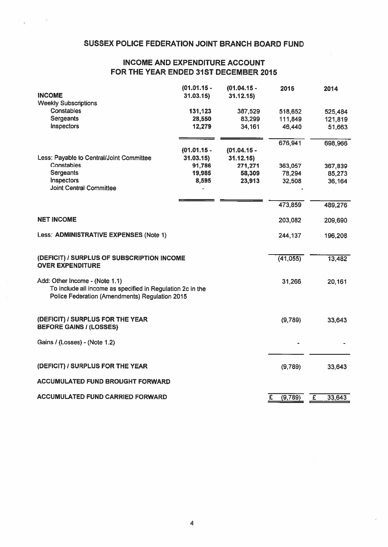## SUSSEX POLICE FEDERATION JOINT BRANCH BOARD FUND

 $\bar{a}$ 

## INCOME AND EXPENDITURE ACCOUNT FOR THE YEAR ENDED 31ST DECEMBER 2015

|                                                                                                                                                | $(01.01.15 -$     | $(01.04.15 -$     | 2015               | 2014                              |
|------------------------------------------------------------------------------------------------------------------------------------------------|-------------------|-------------------|--------------------|-----------------------------------|
| <b>INCOME</b>                                                                                                                                  | 31.03.15          | 31.12.15          |                    |                                   |
| <b>Weekly Subscriptions</b><br><b>Constables</b>                                                                                               |                   |                   |                    |                                   |
| <b>Sergeants</b>                                                                                                                               | 131,123<br>28,550 | 387,529<br>83,299 | 518,652<br>111,849 | 525,484                           |
| Inspectors                                                                                                                                     | 12,279            | 34,161            | 46,440             | 121,819<br>51,663                 |
|                                                                                                                                                |                   |                   |                    |                                   |
|                                                                                                                                                |                   |                   | 676,941            | 698,966                           |
|                                                                                                                                                | $(01.01.15 -$     | $(01.04.15 -$     |                    |                                   |
| Less: Payable to Central/Joint Committee                                                                                                       | 31.03.15          | 31.12.15          |                    |                                   |
| Constables                                                                                                                                     | 91,786            | 271,271           | 363,057            | 367,839                           |
| Sergeants                                                                                                                                      | 19,985            | 58,309            | 78,294             | 85,273                            |
| Inspectors<br><b>Joint Central Committee</b>                                                                                                   | 8,595             | 23,913            | 32,508             | 36,164                            |
|                                                                                                                                                |                   |                   |                    |                                   |
|                                                                                                                                                |                   |                   | 473,859            | 489,276                           |
| <b>NET INCOME</b>                                                                                                                              |                   |                   | 203,082            | 209,690                           |
| Less: ADMINISTRATIVE EXPENSES (Note 1)                                                                                                         |                   |                   | 244,137            | 196,208                           |
|                                                                                                                                                |                   |                   |                    |                                   |
| (DEFICIT) / SURPLUS OF SUBSCRIPTION INCOME<br><b>OVER EXPENDITURE</b>                                                                          |                   |                   | (41,055)           | 13,482                            |
| Add: Other Income - (Note 1.1)<br>To include all income as specified in Regulation 2c in the<br>Police Federation (Amendments) Regulation 2015 |                   |                   | 31,266             | 20,161                            |
| (DEFICIT) / SURPLUS FOR THE YEAR<br><b>BEFORE GAINS / (LOSSES)</b>                                                                             |                   |                   | (9,789)            | 33,643                            |
| Gains / (Losses) - (Note 1.2)                                                                                                                  |                   |                   |                    |                                   |
| (DEFICIT) / SURPLUS FOR THE YEAR                                                                                                               |                   |                   | (9,789)            | 33,643                            |
|                                                                                                                                                |                   |                   |                    |                                   |
| <b>ACCUMULATED FUND BROUGHT FORWARD</b>                                                                                                        |                   |                   |                    |                                   |
| <b>ACCUMULATED FUND CARRIED FORWARD</b>                                                                                                        |                   |                   | Ξ<br>(9,789)       | $\overline{\mathbf{f}}$<br>33,643 |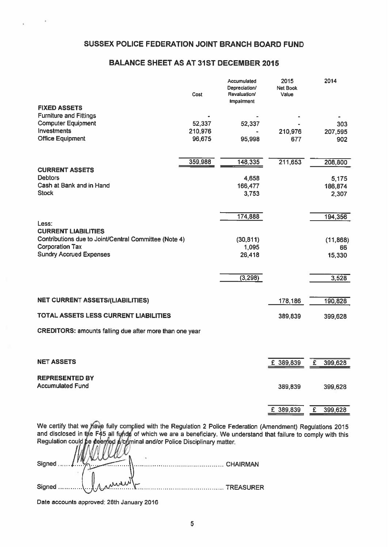## SUSSEX POLICE FEDERATION JOINT BRANCH BOARD FUND

## BALANCE SHEET AS AT 31ST DECEMBER 2015

|                                                          | Cost              | Accumulated<br>Depreciation/<br>Revaluation/<br><b>Impairment</b> | 2015<br><b>Net Book</b><br>Value |   | 2014             |
|----------------------------------------------------------|-------------------|-------------------------------------------------------------------|----------------------------------|---|------------------|
| <b>FIXED ASSETS</b>                                      |                   |                                                                   |                                  |   |                  |
| <b>Furniture and Fittings</b>                            |                   |                                                                   |                                  |   |                  |
| <b>Computer Equipment</b><br>Investments                 | 52,337<br>210,976 | 52,337                                                            | 210,976                          |   | 303<br>207,595   |
| <b>Office Equipment</b>                                  | 96,675            | 95,998                                                            | 677                              |   | 902              |
|                                                          |                   |                                                                   |                                  |   |                  |
|                                                          | 359,988           | 148,335                                                           | 211,653                          |   | 208,800          |
| <b>CURRENT ASSETS</b><br><b>Debtors</b>                  |                   | 4,658                                                             |                                  |   |                  |
| Cash at Bank and in Hand                                 |                   | 166,477                                                           |                                  |   | 5,175<br>186,874 |
| <b>Stock</b>                                             |                   | 3,753                                                             |                                  |   | 2,307            |
|                                                          |                   |                                                                   |                                  |   |                  |
| Less:                                                    |                   | 174,888                                                           |                                  |   | 194,356          |
| <b>CURRENT LIABILITIES</b>                               |                   |                                                                   |                                  |   |                  |
| Contributions due to Joint/Central Committee (Note 4)    |                   | (30, 811)                                                         |                                  |   | (11, 868)        |
| <b>Corporation Tax</b><br><b>Sundry Accrued Expenses</b> |                   | 1,095<br>26,418                                                   |                                  |   | 66<br>15,330     |
|                                                          |                   |                                                                   |                                  |   |                  |
|                                                          |                   | (3, 298)                                                          |                                  |   | 3,528            |
|                                                          |                   |                                                                   |                                  |   |                  |
| <b>NET CURRENT ASSETS/(LIABILITIES)</b>                  |                   |                                                                   | 178,186                          |   | 190,828          |
| TOTAL ASSETS LESS CURRENT LIABILITIES                    |                   |                                                                   | 389,839                          |   | 399,628          |
| CREDITORS: amounts falling due after more than one year  |                   |                                                                   |                                  |   |                  |
|                                                          |                   |                                                                   |                                  |   |                  |
| <b>NET ASSETS</b>                                        |                   |                                                                   | £ 389,839                        | £ | 399,628          |
|                                                          |                   |                                                                   |                                  |   |                  |
| <b>REPRESENTED BY</b>                                    |                   |                                                                   |                                  |   |                  |
| <b>Accumulated Fund</b>                                  |                   |                                                                   | 389,839                          |   | 399,628          |
|                                                          |                   |                                                                   | £ 389,839                        | £ |                  |
|                                                          |                   |                                                                   |                                  |   | 399,628          |

We certify that we have fully complied with the Regulation 2 Police Federation (Amendment) Regulations 2015 and disclosed in the F45 all fynds of which we are a beneficiary. We understand that failure to comply with this Regulation could be deenjed a⁄crjminal and/or Police Disciplinary matter.

| 1 Manuel | Signed<br>$\frac{1}{2}$ |                          |
|----------|-------------------------|--------------------------|
|          |                         |                          |
|          | Signed                  | $\blacksquare$ TREASURFR |

Date accounts approved: 28th January 2016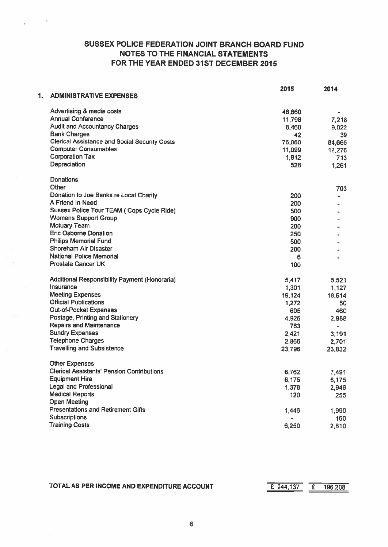## SUSSEX POLICE FEDERATION JOINT BRANCH BOARD FUND NOTES TO THE FINANCIAL STATEMENTS FOR THE YEAR ENDED 31ST DECEMBER 2015

- 4

|    |                                                      | 2015   | 2014   |
|----|------------------------------------------------------|--------|--------|
| 1. | <b>ADMINISTRATIVE EXPENSES</b>                       |        |        |
|    | Advertising & media costs                            | 46,660 |        |
|    | <b>Annual Conference</b>                             | 11,798 | 7,218  |
|    | <b>Audit and Accountancy Charges</b>                 | 8,460  | 9,022  |
|    | <b>Bank Charges</b>                                  | 42     | 39     |
|    | <b>Clerical Assistance and Social Security Costs</b> | 76,060 | 84,665 |
|    | <b>Computer Consumables</b>                          | 11,099 | 12,276 |
|    | <b>Corporation Tax</b>                               | 1,812  | 713    |
|    | Depreciation                                         | 528    | 1,261  |
|    | <b>Donations</b>                                     |        |        |
|    | Other                                                |        | 703    |
|    | Donation to Joe Banks re Local Charity               | 200    |        |
|    | A Friend In Need                                     | 200    |        |
|    | Sussex Police Tour TEAM ( Cops Cycle Ride)           | 500    |        |
|    | <b>Womens Support Group</b>                          | 900    |        |
|    | <b>Motuary Team</b>                                  | 200    |        |
|    | <b>Eric Osborne Donation</b>                         | 250    |        |
|    | <b>Philips Memorial Fund</b>                         | 500    |        |
|    | Shoreham Air Disaster                                | 200    |        |
|    | <b>National Police Memorial</b>                      | 6      |        |
|    | <b>Prostate Cancer UK</b>                            | 100    |        |
|    | Additional Responsibility Payment (Honoraria)        | 5,417  | 5,521  |
|    | Insurance                                            | 1,301  | 1,127  |
|    | <b>Meeting Expenses</b>                              | 19,124 | 18,614 |
|    | <b>Official Publications</b>                         | 1,272  | 50     |
|    | <b>Out-of-Pocket Expenses</b>                        | 605    | 460    |
|    | Postage, Printing and Stationery                     | 4,926  | 2,988  |
|    | <b>Repairs and Maintenance</b>                       | 763    | ۰.     |
|    | <b>Sundry Expenses</b>                               | 2,421  | 3,191  |
|    | <b>Telephone Charges</b>                             | 2,866  | 2,701  |
|    | <b>Travelling and Subsistence</b>                    | 23,796 | 23,832 |
|    | <b>Other Expenses</b>                                |        |        |
|    | <b>Clerical Assistants' Pension Contributions</b>    | 6,762  | 7,491  |
|    | <b>Equipment Hire</b>                                | 6,175  | 6,175  |
|    | <b>Legal and Professional</b>                        | 1,378  | 2,946  |
|    | <b>Medical Reports</b>                               | 120    | 255    |
|    | <b>Open Meeting</b>                                  |        |        |
|    | <b>Presentations and Retirement Gifts</b>            | 1,446  | 1,990  |
|    | <b>Subscriptions</b>                                 |        | 160    |
|    | <b>Training Costs</b>                                | 6,250  | 2,810  |

TOTAL AS PER INCOME AND EXPENDITURE ACCOUNT Example 244,137 E 196,208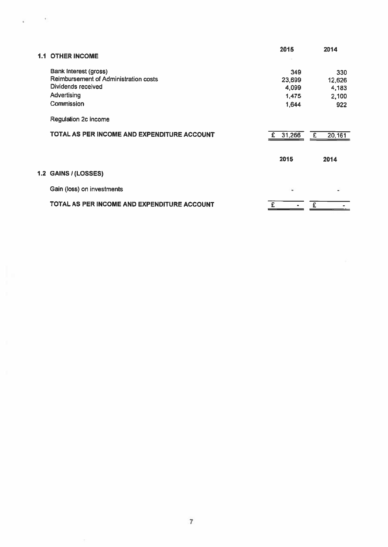| <b>OTHER INCOME</b>                         | 2015        | 2014         |
|---------------------------------------------|-------------|--------------|
| Bank Interest (gross)                       | 349         | 330          |
| Reimbursement of Administration costs       | 23,699      | 12,626       |
| Dividends received                          | 4,099       | 4,183        |
| Advertising                                 | 1,475       | 2,100        |
| Commission                                  | 1,644       | 922          |
| <b>Regulation 2c income</b>                 |             |              |
| TOTAL AS PER INCOME AND EXPENDITURE ACCOUNT | 31,266<br>£ | £<br>20, 161 |
|                                             | 2015        | 2014         |
| 1.2 GAINS / (LOSSES)                        |             |              |
| Gain (loss) on investments                  | ۰           |              |
| TOTAL AS PER INCOME AND EXPENDITURE ACCOUNT |             |              |

 $\mu_{\rm{max}}=0.1$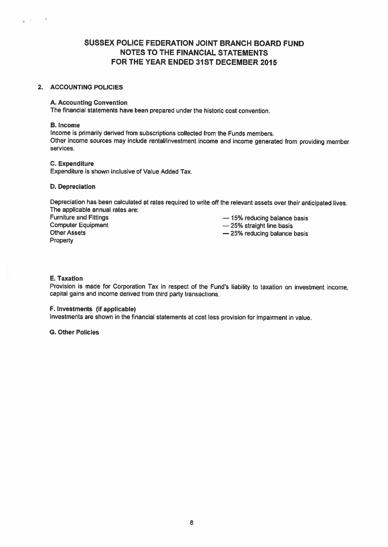## SUSSEX POLICE FEDERATION JOINT BRANCH BOARD FUND NOTES TO THE FINANCIAL STATEMENTS FOR THE YEAR ENDED 31ST DECEMBER 2015

## 2. ACCOUNTING POLICIES

### A. Accounting Convention

The financial statements have been prepared under the historic cost convention.

### B. Income

e st

 $\ddot{\phantom{1}}$ 

Income is primarily derived from subscriptions collected from the Funds members, Other income sources may include rental/investment income and income generated from providing member services.

### C. Expenditure

Expenditure is shown inclusive of Value Added Tax.

### D. Depreciation

Depreciation has been calculated at rates required to write off the relevant assets over their anticipated lives. The applicable annual rates are:

Furniture and Fittings<br>
Computer Equipment<br>  $\begin{array}{r} -15\% \text{ reduction} \end{array}$  balance basis<br>  $-25\% \text{ strain}$  time basis Other Assets **Property** 

 $-25%$  straight line basis

— 25% reducing balance basis

## E. Taxation

Provision is made for Corporation Tax in respect of the Fund's liability to taxation on investment income, capital gains and income derived from third party transactions.

## F. Investments (if applicable)

Investments are shown in the financial statements at cost less provision for impairment in value.

G. Other Policies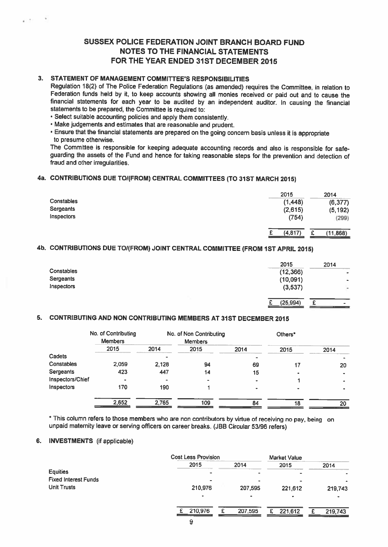## SUSSEX POLICE FEDERATION JOINT BRANCH BOARD FUND NOTES TO THE FINANCIAL STATEMENTS FOR THE YEAR ENDED 31ST DECEMBER 2015

## 3. STATEMENT OF MANAGEMENT COMMITTEE'S RESPONSIBILITIES

Regulation 18(2) of The Police Federation Regulations (as amended) requires the Committee, in relation to Federation funds held by it, to keep accounts showing all monies received or paid out and to cause the financial statements for each year to be audited by an independent auditor. In causing the financial statements to be prepared, the Committee is required to:

• Select suitable accounting policies and apply them consistently.

'Make judgements and estimates that are reasonable and prudent.

• Ensure that the financial statements are prepare<sup>d</sup> on the going concern basis unless it is appropriate to presume otherwise.

The Committee is responsible for keeping adequate accounting records and also is responsible for safe guarding the assets of the Fund and hence for taking reasonable steps for the prevention and detection of fraud and other irregularities.

## 4a. CONTRIBUTIONS DUE TO1(FROM) CENTRAL COMMITTEES (TO 31ST MARCH 2015)

|            | 2015     | 2014     |
|------------|----------|----------|
| Constables | (1,448)  | (6, 377) |
| Sergeants  | (2,615)  | (5, 192) |
| Inspectors | (754)    | (299)    |
|            | (4, 817) | (11,868) |

## 4b. CONTRIBUTIONS DUE TOI(FROM) JOINT CENTRAL COMMITTEE (FROM 1ST APRIL 2015)

|                   | 2015      | 2014                                    |
|-------------------|-----------|-----------------------------------------|
| <b>Constables</b> | (12, 366) | ٠                                       |
| Sergeants         | (10,091)  | $\blacksquare$                          |
| Inspectors        | (3,537)   | s.                                      |
|                   | (25, 994) | $\sim$<br>$\overline{\phantom{0}}$<br>- |

## 5. CONTRIBUTING AND NON CONTRIBUTING MEMBERS AT 31ST DECEMBER 2015

|                  | No. of Contributing<br><b>Members</b> |       | No. of Non Contributing<br><b>Members</b> |      | Others <sup>*</sup> |      |
|------------------|---------------------------------------|-------|-------------------------------------------|------|---------------------|------|
|                  | 2015                                  | 2014  | 2015                                      | 2014 | 2015                | 2014 |
| Cadets           |                                       | -     |                                           |      |                     |      |
| Constables       | 2,059                                 | 2,128 | 94                                        | 69   | 17                  | 20   |
| Sergeants        | 423                                   | 447   | 14                                        | 15   | ٠                   |      |
| Inspectors/Chief |                                       |       |                                           |      |                     |      |
| Inspectors       | 170                                   | 190   |                                           |      |                     |      |
|                  | 2,652                                 | 2,765 | 109                                       | 84   | 18                  | 20   |

This column refers to those members who are non contributors by virtue of receiving no pay, being on unpaid maternity leave or serving officers on career breaks. (JBB Circular 53/96 refers)

## 6. INVESTMENTS (if applicable)

|                             | <b>Cost Less Provision</b> |         | <b>Market Value</b> |              |
|-----------------------------|----------------------------|---------|---------------------|--------------|
|                             | 2015                       | 2014    | 2015                | 2014         |
| Equities                    | ۰                          |         |                     | ٠            |
| <b>Fixed Interest Funds</b> | ۰                          | ٠       |                     |              |
| <b>Unit Trusts</b>          | 210,976                    | 207,595 | 221,612             | 219,743      |
|                             | ٠                          | ٠       |                     |              |
|                             | 210,976                    | 207,595 | 221,612<br>£        | 219,743<br>£ |
|                             | $\overline{\phantom{a}}$   |         |                     |              |